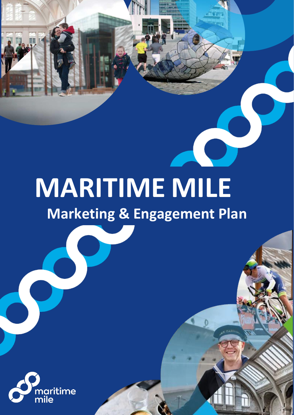# **MARITIME MILE**

# **Marketing & Engagement Plan**

9

 $\bullet$ 

0



**gfhfg**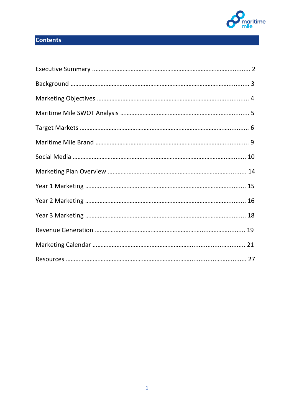

# **Contents**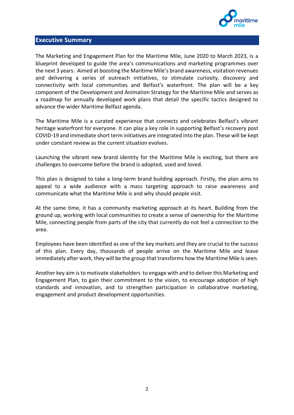

#### **Executive Summary**

The Marketing and Engagement Plan for the Maritime Mile, June 2020 to March 2023, is a blueprint developed to guide the area's communications and marketing programmes over the next 3 years. Aimed at boosting the Maritime Mile's brand awareness, visitation revenues and delivering a series of outreach initiatives, to stimulate curiosity, discovery and connectivity with local communities and Belfast's waterfront. The plan will be a key component of the Development and Animation Strategy for the Maritime Mile and serves as a roadmap for annually developed work plans that detail the specific tactics designed to advance the wider Maritime Belfast agenda.

The Maritime Mile is a curated experience that connects and celebrates Belfast's vibrant heritage waterfront for everyone. It can play a key role in supporting Belfast's recovery post COVID-19 and immediate short term initiatives are integrated into the plan. These will be kept under constant review as the current situation evolves.

Launching the vibrant new brand identity for the Maritime Mile is exciting, but there are challenges to overcome before the brand is adopted, used and loved.

This plan is designed to take a long-term brand building approach. Firstly, the plan aims to appeal to a wide audience with a mass targeting approach to raise awareness and communicate what the Maritime Mile is and why should people visit.

At the same time, it has a community marketing approach at its heart. Building from the ground up, working with local communities to create a sense of ownership for the Maritime Mile, connecting people from parts of the city that currently do not feel a connection to the area.

Employees have been identified as one of the key markets and they are crucial to the success of this plan. Every day, thousands of people arrive on the Maritime Mile and leave immediately after work, they will be the group that transforms how the Maritime Mile is seen.

Another key aim is to motivate stakeholders to engage with and to deliver this Marketing and Engagement Plan, to gain their commitment to the vision, to encourage adoption of high standards and innovation, and to strengthen participation in collaborative marketing, engagement and product development opportunities.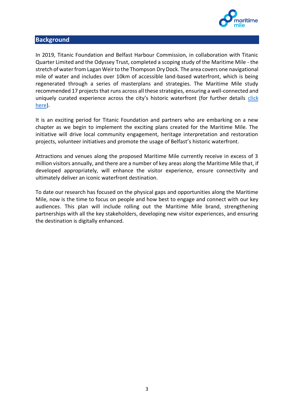

#### **Background**

In 2019, Titanic Foundation and Belfast Harbour Commission, in collaboration with Titanic Quarter Limited and the Odyssey Trust, completed a scoping study of the Maritime Mile - the stretch of water from Lagan Weir to the Thompson Dry Dock. The area covers one navigational mile of water and includes over 10km of accessible land-based waterfront, which is being regenerated through a series of masterplans and strategies. The Maritime Mile study recommended 17 projects that runs across all these strategies, ensuring a well-connected and uniquely curated experience across the city's historic waterfront (for further details [click](https://titanic-foundation.org/titanic-quarter-destination-plan/the-maritime-mile/)  [here\)](https://titanic-foundation.org/titanic-quarter-destination-plan/the-maritime-mile/).

It is an exciting period for Titanic Foundation and partners who are embarking on a new chapter as we begin to implement the exciting plans created for the Maritime Mile. The initiative will drive local community engagement, heritage interpretation and restoration projects, volunteer initiatives and promote the usage of Belfast's historic waterfront.

Attractions and venues along the proposed Maritime Mile currently receive in excess of 3 million visitors annually, and there are a number of key areas along the Maritime Mile that, if developed appropriately, will enhance the visitor experience, ensure connectivity and ultimately deliver an iconic waterfront destination.

To date our research has focused on the physical gaps and opportunities along the Maritime Mile, now is the time to focus on people and how best to engage and connect with our key audiences. This plan will include rolling out the Maritime Mile brand, strengthening partnerships with all the key stakeholders, developing new visitor experiences, and ensuring the destination is digitally enhanced.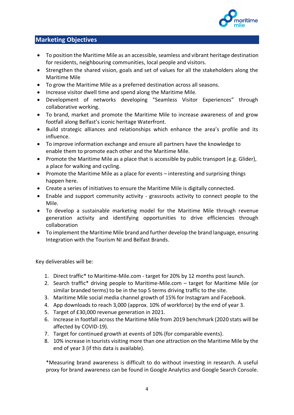

### **Marketing Objectives**

- To position the Maritime Mile as an accessible, seamless and vibrant heritage destination for residents, neighbouring communities, local people and visitors.
- Strengthen the shared vision, goals and set of values for all the stakeholders along the Maritime Mile
- To grow the Maritime Mile as a preferred destination across all seasons.
- Increase visitor dwell time and spend along the Maritime Mile.
- Development of networks developing "Seamless Visitor Experiences" through collaborative working.
- To brand, market and promote the Maritime Mile to increase awareness of and grow footfall along Belfast's iconic heritage Waterfront.
- Build strategic alliances and relationships which enhance the area's profile and its influence.
- To improve information exchange and ensure all partners have the knowledge to enable them to promote each other and the Maritime Mile.
- Promote the Maritime Mile as a place that is accessible by public transport (e.g. Glider), a place for walking and cycling.
- Promote the Maritime Mile as a place for events interesting and surprising things happen here.
- Create a series of initiatives to ensure the Maritime Mile is digitally connected.
- Enable and support community activity grassroots activity to connect people to the Mile.
- To develop a sustainable marketing model for the Maritime Mile through revenue generation activity and identifying opportunities to drive efficiencies through collaboration
- To implement the Maritime Mile brand and further develop the brand language, ensuring Integration with the Tourism NI and Belfast Brands.

Key deliverables will be:

- 1. Direct traffic\* to Maritime-Mile.com target for 20% by 12 months post launch.
- 2. Search traffic\* driving people to Maritime-Mile.com target for Maritime Mile (or similar branded terms) to be in the top 5 terms driving traffic to the site.
- 3. Maritime Mile social media channel growth of 15% for Instagram and Facebook.
- 4. App downloads to reach 3,000 (approx. 10% of workforce) by the end of year 3.
- 5. Target of £30,000 revenue generation in 2021.
- 6. Increase in footfall across the Maritime Mile from 2019 benchmark (2020 stats will be affected by COVID-19).
- 7. Target for continued growth at events of 10% (for comparable events).
- 8. 10% increase in tourists visiting more than one attraction on the Maritime Mile by the end of year 3 (if this data is available).

\*Measuring brand awareness is difficult to do without investing in research. A useful proxy for brand awareness can be found in Google Analytics and Google Search Console.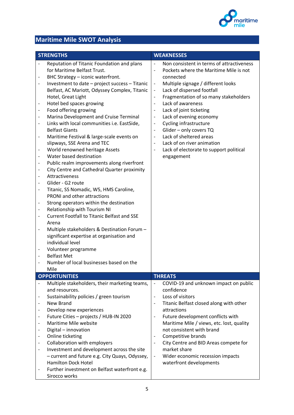

# **Maritime Mile SWOT Analysis**

| <b>STRENGTHS</b>                                                                                                                                                                                                                                                                                                                                                                                                                                                               |                                                                                                                                                                                                                                                                                                                                                                                                                                                                                                                                                                                                                                                                                                                                                                                                                                                                                                                                                                               |                                                                                                                                                                                                                                                                                                                                                     | <b>WEAKNESSES</b>                                                                                                                                                                                                                                                                                                                                                                                                                                               |
|--------------------------------------------------------------------------------------------------------------------------------------------------------------------------------------------------------------------------------------------------------------------------------------------------------------------------------------------------------------------------------------------------------------------------------------------------------------------------------|-------------------------------------------------------------------------------------------------------------------------------------------------------------------------------------------------------------------------------------------------------------------------------------------------------------------------------------------------------------------------------------------------------------------------------------------------------------------------------------------------------------------------------------------------------------------------------------------------------------------------------------------------------------------------------------------------------------------------------------------------------------------------------------------------------------------------------------------------------------------------------------------------------------------------------------------------------------------------------|-----------------------------------------------------------------------------------------------------------------------------------------------------------------------------------------------------------------------------------------------------------------------------------------------------------------------------------------------------|-----------------------------------------------------------------------------------------------------------------------------------------------------------------------------------------------------------------------------------------------------------------------------------------------------------------------------------------------------------------------------------------------------------------------------------------------------------------|
| $\qquad \qquad \blacksquare$<br>$\qquad \qquad \blacksquare$<br>Hotel, Great Light<br>-<br>$\qquad \qquad \blacksquare$<br>$\qquad \qquad \blacksquare$<br><b>Belfast Giants</b><br>$\overline{\phantom{0}}$<br>$\qquad \qquad \blacksquare$<br>$\overline{a}$<br>Attractiveness<br>Glider - G2 route<br>-<br>$\overline{\phantom{a}}$<br>Arena<br>$\qquad \qquad -$<br>individual level<br><b>Belfast Met</b><br>$\qquad \qquad \blacksquare$<br>$\qquad \qquad \blacksquare$ | Reputation of Titanic Foundation and plans<br>for Maritime Belfast Trust.<br>BHC Strategy - iconic waterfront.<br>Investment to date - project success - Titanic<br>Belfast, AC Mariott, Odyssey Complex, Titanic<br>Hotel bed spaces growing<br>Food offering growing<br>Marina Development and Cruise Terminal<br>Links with local communities i.e. EastSide,<br>Maritime Festival & large-scale events on<br>slipways, SSE Arena and TEC<br>World renowned heritage Assets<br>Water based destination<br>Public realm improvements along riverfront<br>City Centre and Cathedral Quarter proximity<br>Titanic, SS Nomadic, W5, HMS Caroline,<br>PRONI and other attractions<br>Strong operators within the destination<br>Relationship with Tourism NI<br><b>Current Footfall to Titanic Belfast and SSE</b><br>Multiple stakeholders & Destination Forum -<br>significant expertise at organisation and<br>Volunteer programme<br>Number of local businesses based on the | $\frac{1}{2}$<br>$\overline{\phantom{a}}$<br>$\overline{\phantom{a}}$<br>$\overline{\phantom{a}}$<br>$\overline{\phantom{a}}$<br>$\overline{\phantom{a}}$<br>$\overline{\phantom{a}}$<br>$\blacksquare$<br>$\overline{\phantom{a}}$<br>$\overline{\phantom{a}}$<br>$\overline{\phantom{a}}$<br>$\overline{\phantom{a}}$<br>$\overline{\phantom{a}}$ | Non consistent in terms of attractiveness<br>Pockets where the Maritime Mile is not<br>connected<br>Multiple signage / different looks<br>Lack of dispersed footfall<br>Fragmentation of so many stakeholders<br>Lack of awareness<br>Lack of joint ticketing<br>Lack of evening economy<br>Cycling infrastructure<br>Glider - only covers TQ<br>Lack of sheltered areas<br>Lack of on river animation<br>Lack of electorate to support political<br>engagement |
| Mile                                                                                                                                                                                                                                                                                                                                                                                                                                                                           |                                                                                                                                                                                                                                                                                                                                                                                                                                                                                                                                                                                                                                                                                                                                                                                                                                                                                                                                                                               |                                                                                                                                                                                                                                                                                                                                                     |                                                                                                                                                                                                                                                                                                                                                                                                                                                                 |
| <b>OPPORTUNITIES</b>                                                                                                                                                                                                                                                                                                                                                                                                                                                           |                                                                                                                                                                                                                                                                                                                                                                                                                                                                                                                                                                                                                                                                                                                                                                                                                                                                                                                                                                               |                                                                                                                                                                                                                                                                                                                                                     | <b>THREATS</b>                                                                                                                                                                                                                                                                                                                                                                                                                                                  |
| and resources.<br>New Brand<br>$\qquad \qquad \blacksquare$<br>Digital - innovation<br>$\qquad \qquad \blacksquare$<br>Online ticketing<br><b>Hamilton Dock Hotel</b><br>Sirocco works                                                                                                                                                                                                                                                                                         | Multiple stakeholders, their marketing teams,<br>Sustainability policies / green tourism<br>Develop new experiences<br>Future Cities - projects / HUB-IN 2020<br>Maritime Mile website<br>Collaboration with employers<br>Investment and development across the site<br>- current and future e.g. City Quays, Odyssey,<br>Further investment on Belfast waterfront e.g.                                                                                                                                                                                                                                                                                                                                                                                                                                                                                                                                                                                                       | $\overline{\phantom{a}}$<br>$\overline{\phantom{a}}$<br>$\overline{\phantom{a}}$<br>$\overline{\phantom{a}}$<br>$\overline{\phantom{a}}$<br>$\overline{\phantom{a}}$<br>$\overline{\phantom{a}}$                                                                                                                                                    | COVID-19 and unknown impact on public<br>confidence<br>Loss of visitors<br>Titanic Belfast closed along with other<br>attractions<br>Future development conflicts with<br>Maritime Mile / views, etc. lost, quality<br>not consistent with brand<br>Competitive brands<br>City Centre and BID Areas compete for<br>market share<br>Wider economic recession impacts<br>waterfront developments                                                                  |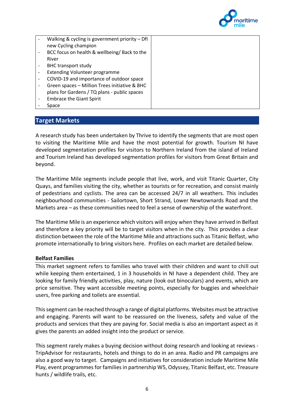

| Walking & cycling is government priority $-$ Dfl<br>new Cycling champion |  |
|--------------------------------------------------------------------------|--|
| BCC focus on health & wellbeing/ Back to the                             |  |
| River                                                                    |  |
| <b>BHC transport study</b>                                               |  |
| <b>Extending Volunteer programme</b>                                     |  |
| COVID-19 and importance of outdoor space                                 |  |
| Green spaces - Million Trees initiative & BHC                            |  |
| plans for Gardens / TQ plans - public spaces                             |  |
| <b>Embrace the Giant Spirit</b>                                          |  |
| Space                                                                    |  |

#### **Target Markets**

A research study has been undertaken by Thrive to identify the segments that are most open to visiting the Maritime Mile and have the most potential for growth. Tourism NI have developed segmentation profiles for visitors to Northern Ireland from the island of Ireland and Tourism Ireland has developed segmentation profiles for visitors from Great Britain and beyond.

The Maritime Mile segments include people that live, work, and visit Titanic Quarter, City Quays, and families visiting the city, whether as tourists or for recreation, and consist mainly of pedestrians and cyclists. The area can be accessed 24/7 in all weathers. This includes neighbourhood communities - Sailortown, Short Strand, Lower Newtownards Road and the Markets area – as these communities need to feel a sense of ownership of the waterfront.

The Maritime Mile is an experience which visitors will enjoy when they have arrived in Belfast and therefore a key priority will be to target visitors when in the city. This provides a clear distinction between the role of the Maritime Mile and attractions such as Titanic Belfast, who promote internationally to bring visitors here. Profiles on each market are detailed below.

#### **Belfast Families**

This market segment refers to families who travel with their children and want to chill out while keeping them entertained, 1 in 3 households in NI have a dependent child. They are looking for family friendly activities, play, nature (look out binoculars) and events, which are price sensitive. They want accessible meeting points, especially for buggies and wheelchair users, free parking and toilets are essential.

This segment can be reached through a range of digital platforms. Websites must be attractive and engaging. Parents will want to be reassured on the liveness, safety and value of the products and services that they are paying for. Social media is also an important aspect as it gives the parents an added insight into the product or service.

This segment rarely makes a buying decision without doing research and looking at reviews - TripAdvisor for restaurants, hotels and things to do in an area. Radio and PR campaigns are also a good way to target. Campaigns and initiatives for consideration include Maritime Mile Play, event programmes for families in partnership W5, Odyssey, Titanic Belfast, etc. Treasure hunts / wildlife trails, etc.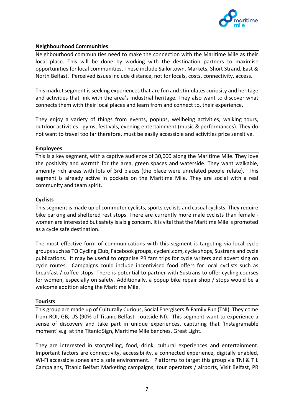

#### **Neighbourhood Communities**

Neighbourhood communities need to make the connection with the Maritime Mile as their local place. This will be done by working with the destination partners to maximise opportunities for local communities. These include Sailortown, Markets, Short Strand, East & North Belfast. Perceived issues include distance, not for locals, costs, connectivity, access.

This market segment isseeking experiences that are fun and stimulates curiosity and heritage and activities that link with the area's industrial heritage. They also want to discover what connects them with their local places and learn from and connect to, their experience.

They enjoy a variety of things from events, popups, wellbeing activities, walking tours, outdoor activities - gyms, festivals, evening entertainment (music & performances). They do not want to travel too far therefore, must be easily accessible and activities price sensitive.

#### **Employees**

This is a key segment, with a captive audience of 30,000 along the Maritime Mile. They love the positivity and warmth for the area, green spaces and waterside. They want walkable, amenity rich areas with lots of 3rd places (the place were unrelated people relate). This segment is already active in pockets on the Maritime Mile. They are social with a real community and team spirit.

#### **Cyclists**

This segment is made up of commuter cyclists, sports cyclists and casual cyclists. They require bike parking and sheltered rest stops. There are currently more male cyclists than female women are interested but safety is a big concern. It is vital that the Maritime Mile is promoted as a cycle safe destination.

The most effective form of communications with this segment is targeting via local cycle groups such as TQ Cycling Club, Facebook groups, cycleni.com, cycle shops, Sustrans and cycle publications. It may be useful to organise PR fam trips for cycle writers and advertising on cycle routes. Campaigns could include incentivised food offers for local cyclists such as breakfast / coffee stops. There is potential to partner with Sustrans to offer cycling courses for women, especially on safety. Additionally, a popup bike repair shop / stops would be a welcome addition along the Maritime Mile.

#### **Tourists**

This group are made up of Culturally Curious, Social Energisers & Family Fun (TNI). They come from ROI, GB, US (90% of Titanic Belfast - outside NI). This segment want to experience a sense of discovery and take part in unique experiences, capturing that 'Instagramable moment' e.g. at the Titanic Sign, Maritime Mile benches, Great Light.

They are interested in storytelling, food, drink, cultural experiences and entertainment. Important factors are connectivity, accessibility, a connected experience, digitally enabled, Wi-Fi accessible zones and a safe environment. Platforms to target this group via TNI & TIL Campaigns, Titanic Belfast Marketing campaigns, tour operators / airports, Visit Belfast, PR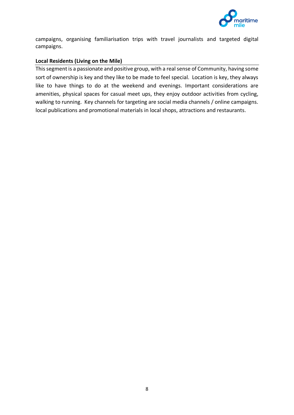

campaigns, organising familiarisation trips with travel journalists and targeted digital campaigns.

#### **Local Residents (Living on the Mile)**

This segment is a passionate and positive group, with a real sense of Community, having some sort of ownership is key and they like to be made to feel special. Location is key, they always like to have things to do at the weekend and evenings. Important considerations are amenities, physical spaces for casual meet ups, they enjoy outdoor activities from cycling, walking to running. Key channels for targeting are social media channels / online campaigns. local publications and promotional materials in local shops, attractions and restaurants.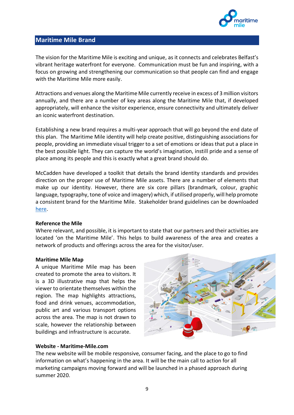

#### **Maritime Mile Brand**

The vision for the Maritime Mile is exciting and unique, as it connects and celebrates Belfast's vibrant heritage waterfront for everyone. Communication must be fun and inspiring, with a focus on growing and strengthening our communication so that people can find and engage with the Maritime Mile more easily.

Attractions and venues along the Maritime Mile currently receive in excess of 3 million visitors annually, and there are a number of key areas along the Maritime Mile that, if developed appropriately, will enhance the visitor experience, ensure connectivity and ultimately deliver an iconic waterfront destination.

Establishing a new brand requires a multi-year approach that will go beyond the end date of this plan. The Maritime Mile identity will help create positive, distinguishing associations for people, providing an immediate visual trigger to a set of emotions or ideas that put a place in the best possible light. They can capture the world's imagination, instill pride and a sense of place among its people and this is exactly what a great brand should do.

McCadden have developed a toolkit that details the brand identity standards and provides direction on the proper use of Maritime Mile assets. There are a number of elements that make up our identity. However, there are six core pillars (brandmark, colour, graphic language, typography, tone of voice and imagery) which, if utilised properly, will help promote a consistent brand for the Maritime Mile. Stakeholder brand guidelines can be downloaded [here.](https://bit.ly/3dbIjY2)

#### **Reference the Mile**

Where relevant, and possible, it is important to state that our partners and their activities are located 'on the Maritime Mile'. This helps to build awareness of the area and creates a network of products and offerings across the area for the visitor/user.

#### **Maritime Mile Map**

A unique Maritime Mile map has been created to promote the area to visitors. It is a 3D illustrative map that helps the viewer to orientate themselves within the region. The map highlights attractions, food and drink venues, accommodation, public art and various transport options across the area. The map is not drawn to scale, however the relationship between buildings and infrastructure is accurate.



#### **Website - Maritime-Mile.com**

The new website will be mobile responsive, consumer facing, and the place to go to find information on what's happening in the area. It will be the main call to action for all marketing campaigns moving forward and will be launched in a phased approach during summer 2020.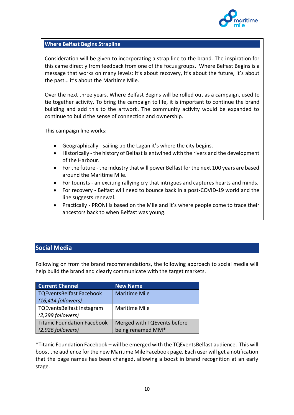

#### **Where Belfast Begins Strapline**

Consideration will be given to incorporating a strap line to the brand. The inspiration for this came directly from feedback from one of the focus groups. Where Belfast Begins is a message that works on many levels: it's about recovery, it's about the future, it's about the past… it's about the Maritime Mile.

Over the next three years, Where Belfast Begins will be rolled out as a campaign, used to tie together activity. To bring the campaign to life, it is important to continue the brand building and add this to the artwork. The community activity would be expanded to continue to build the sense of connection and ownership.

This campaign line works:

- Geographically sailing up the Lagan it's where the city begins.
- Historically the history of Belfast is entwined with the rivers and the development of the Harbour.
- For the future the industry that will power Belfast for the next 100 years are based around the Maritime Mile.
- For tourists an exciting rallying cry that intrigues and captures hearts and minds.
- For recovery Belfast will need to bounce back in a post-COVID-19 world and the line suggests renewal.
- Practically PRONI is based on the Mile and it's where people come to trace their ancestors back to when Belfast was young.

#### **Social Media**

Following on from the brand recommendations, the following approach to social media will help build the brand and clearly communicate with the target markets.

| <b>Current Channel</b>             | <b>New Name</b>             |
|------------------------------------|-----------------------------|
| <b>TQEventsBelfast Facebook</b>    | Maritime Mile               |
| $(16, 414$ followers)              |                             |
| <b>TQEventsBelfast Instagram</b>   | Maritime Mile               |
| (2,299 followers)                  |                             |
| <b>Titanic Foundation Facebook</b> | Merged with TQEvents before |
| (2,926 followers)                  | being renamed MM*           |

\*Titanic Foundation Facebook – will be emerged with the TQEventsBelfast audience. This will boost the audience for the new Maritime Mile Facebook page. Each user will get a notification that the page names has been changed, allowing a boost in brand recognition at an early stage.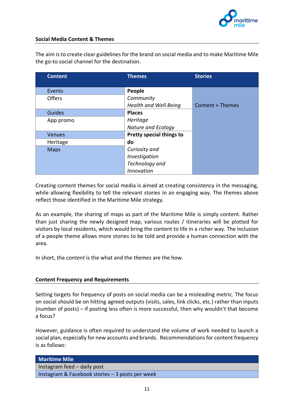

#### **Social Media Content & Themes**

The aim is to create clear guidelines for the brand on social media and to make Maritime Mile the go-to social channel for the destination.

| <b>Content</b> | <b>Themes</b>                | <b>Stories</b>          |
|----------------|------------------------------|-------------------------|
|                |                              |                         |
| Events         | People                       |                         |
| <b>Offers</b>  | Community                    |                         |
|                | <b>Health and Well Being</b> | <b>Content + Themes</b> |
| <b>Guides</b>  | <b>Places</b>                |                         |
| App promo      | Heritage                     |                         |
|                | Nature and Ecology           |                         |
| <b>Venues</b>  | Pretty special things to     |                         |
| Heritage       | do                           |                         |
| <b>Maps</b>    | Curiosity and                |                         |
|                | Investigation                |                         |
|                | Technology and               |                         |
|                | Innovation                   |                         |

Creating content themes for social media is aimed at creating consistency in the messaging, while allowing flexibility to tell the relevant stories in an engaging way. The themes above reflect those identified in the Maritime Mile strategy.

As an example, the sharing of maps as part of the Maritime Mile is simply content. Rather than just sharing the newly designed map, various routes / itineraries will be plotted for visitors by local residents, which would bring the content to life in a richer way. The inclusion of a people theme allows more stories to be told and provide a human connection with the area.

In short, the *content* is the what and the *themes* are the how.

#### **Content Frequency and Requirements**

Setting targets for frequency of posts on social media can be a misleading metric. The focus on social should be on hitting agreed outputs (visits, sales, link clicks, etc.) rather than inputs (number of posts) – if posting less often is more successful, then why wouldn't that become a focus?

However, guidance is often required to understand the volume of work needed to launch a social plan, especially for new accounts and brands. Recommendations for content frequency is as follows:

| <b>Maritime Mile</b>                            |
|-------------------------------------------------|
| Instagram feed - daily post                     |
| Instagram & Facebook stories - 3 posts per week |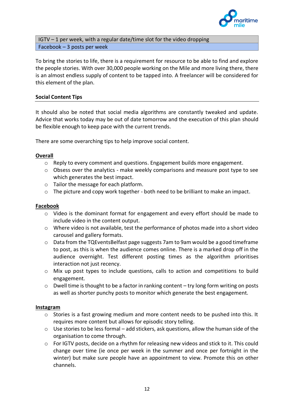

IGTV – 1 per week, with a regular date/time slot for the video dropping Facebook – 3 posts per week

To bring the stories to life, there is a requirement for resource to be able to find and explore the people stories. With over 30,000 people working on the Mile and more living there, there is an almost endless supply of content to be tapped into. A freelancer will be considered for this element of the plan.

#### **Social Content Tips**

It should also be noted that social media algorithms are constantly tweaked and update. Advice that works today may be out of date tomorrow and the execution of this plan should be flexible enough to keep pace with the current trends.

There are some overarching tips to help improve social content.

#### **Overall**

- $\circ$  Reply to every comment and questions. Engagement builds more engagement.
- $\circ$  Obsess over the analytics make weekly comparisons and measure post type to see which generates the best impact.
- o Tailor the message for each platform.
- $\circ$  The picture and copy work together both need to be brilliant to make an impact.

#### **Facebook**

- $\circ$  Video is the dominant format for engagement and every effort should be made to include video in the content output.
- o Where video is not available, test the performance of photos made into a short video carousel and gallery formats.
- o Data from the TQEventsBelfast page suggests 7am to 9am would be a good timeframe to post, as this is when the audience comes online. There is a marked drop off in the audience overnight. Test different posting times as the algorithm prioritises interaction not just recency.
- o Mix up post types to include questions, calls to action and competitions to build engagement.
- o Dwell time is thought to be a factor in ranking content try long form writing on posts as well as shorter punchy posts to monitor which generate the best engagement.

#### **Instagram**

- $\circ$  Stories is a fast growing medium and more content needs to be pushed into this. It requires more content but allows for episodic story telling.
- o Use stories to be less formal add stickers, ask questions, allow the human side of the organisation to come through.
- o For IGTV posts, decide on a rhythm for releasing new videos and stick to it. This could change over time (ie once per week in the summer and once per fortnight in the winter) but make sure people have an appointment to view. Promote this on other channels.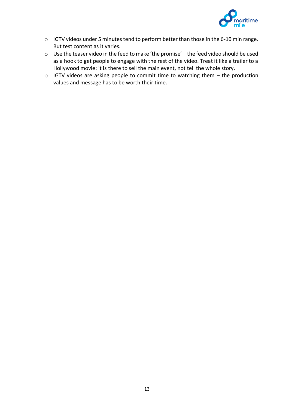

- o IGTV videos under 5 minutes tend to perform better than those in the 6-10 min range. But test content as it varies.
- o Use the teaser video in the feed to make 'the promise' the feed video should be used as a hook to get people to engage with the rest of the video. Treat it like a trailer to a Hollywood movie: it is there to sell the main event, not tell the whole story.
- o IGTV videos are asking people to commit time to watching them the production values and message has to be worth their time.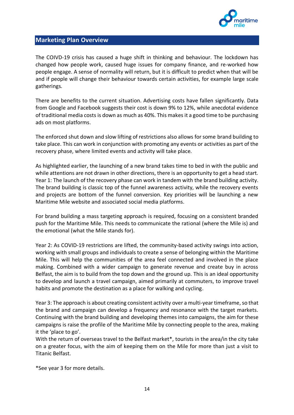

#### **Marketing Plan Overview**

The COIVD-19 crisis has caused a huge shift in thinking and behaviour. The lockdown has changed how people work, caused huge issues for company finance, and re-worked how people engage. A sense of normality will return, but it is difficult to predict when that will be and if people will change their behaviour towards certain activities, for example large scale gatherings.

There are benefits to the current situation. Advertising costs have fallen significantly. Data from Google and Facebook suggests their cost is down 9% to 12%, while anecdotal evidence of traditional media costs is down as much as 40%. This makes it a good time to be purchasing ads on most platforms.

The enforced shut down and slow lifting of restrictions also allows for some brand building to take place. This can work in conjunction with promoting any events or activities as part of the recovery phase, where limited events and activity will take place.

As highlighted earlier, the launching of a new brand takes time to bed in with the public and while attentions are not drawn in other directions, there is an opportunity to get a head start. Year 1: The launch of the recovery phase can work in tandem with the brand building activity. The brand building is classic top of the funnel awareness activity, while the recovery events and projects are bottom of the funnel conversion. Key priorities will be launching a new Maritime Mile website and associated social media platforms.

For brand building a mass targeting approach is required, focusing on a consistent branded push for the Maritime Mile. This needs to communicate the rational (where the Mile is) and the emotional (what the Mile stands for).

Year 2: As COVID-19 restrictions are lifted, the community-based activity swings into action, working with small groups and individuals to create a sense of belonging within the Maritime Mile. This will help the communities of the area feel connected and involved in the place making. Combined with a wider campaign to generate revenue and create buy in across Belfast, the aim is to build from the top down and the ground up. This is an ideal opportunity to develop and launch a travel campaign, aimed primarily at commuters, to improve travel habits and promote the destination as a place for walking and cycling.

Year 3: The approach is about creating consistent activity over a multi-year timeframe, so that the brand and campaign can develop a frequency and resonance with the target markets. Continuing with the brand building and developing themes into campaigns, the aim for these campaigns is raise the profile of the Maritime Mile by connecting people to the area, making it the 'place to go'.

With the return of overseas travel to the Belfast market\*, tourists in the area/in the city take on a greater focus, with the aim of keeping them on the Mile for more than just a visit to Titanic Belfast.

\*See year 3 for more details.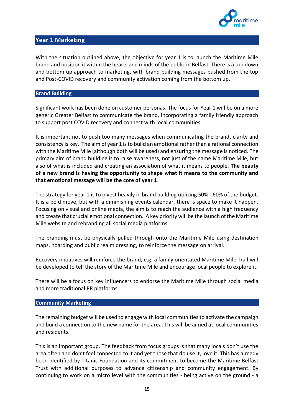

#### **Year 1 Marketing**

With the situation outlined above, the objective for year 1 is to launch the Maritime Mile brand and position it within the hearts and minds of the public in Belfast. There is a top down and bottom up approach to marketing, with brand building messages pushed from the top and Post-COVID recovery and community activation coming from the bottom up.

#### **Brand Building**

Significant work has been done on customer personas. The focus for Year 1 will be on a more generic Greater Belfast to communicate the brand, incorporating a family friendly approach to support post COVID recovery and connect with local communities.

It is important not to push too many messages when communicating the brand, clarity and consistency is key. The aim of year 1 is to build an emotional rather than a rational connection with the Maritime Mile (although both will be used) and ensuring the message is noticed. The primary aim of brand building is to raise awareness, not just of the name Maritime Mile, but also of what is included and creating an association of what it means to people. **The beauty of a new brand is having the opportunity to shape what it means to the community and that emotional message will be the core of year 1**.

The strategy for year 1 is to invest heavily in brand building utilizing 50% - 60% of the budget. It is a bold move, but with a diminishing events calendar, there is space to make it happen. Focusing on visual and online media, the aim is to reach the audience with a high frequency and create that crucial emotional connection. A key priority will be the launch of the Maritime Mile website and rebranding all social media platforms.

The branding must be physically pulled through onto the Maritime Mile using destination maps, hoarding and public realm dressing, to reinforce the message on arrival.

Recovery initiatives will reinforce the brand, e.g. a family orientated Maritime Mile Trail will be developed to tell the story of the Maritime Mile and encourage local people to explore it.

There will be a focus on key influencers to endorse the Maritime Mile through social media and more traditional PR platforms

#### **Community Marketing**

The remaining budget will be used to engage with local communities to activate the campaign and build a connection to the new name for the area. This will be aimed at local communities and residents.

This is an important group. The feedback from focus groups is that many locals don't use the area often and don't feel connected to it and yet those that do use it, love it. This has already been identified by Titanic Foundation and its commitment to become the Maritime Belfast Trust with additional purposes to advance citizenship and community engagement. By continuing to work on a micro level with the communities - being active on the ground - a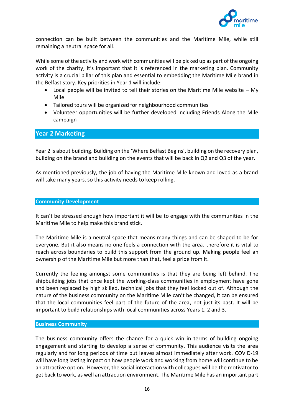

connection can be built between the communities and the Maritime Mile, while still remaining a neutral space for all.

While some of the activity and work with communities will be picked up as part of the ongoing work of the charity, it's important that it is referenced in the marketing plan. Community activity is a crucial pillar of this plan and essential to embedding the Maritime Mile brand in the Belfast story. Key priorities in Year 1 will include:

- Local people will be invited to tell their stories on the Maritime Mile website My Mile
- Tailored tours will be organized for neighbourhood communities
- Volunteer opportunities will be further developed including Friends Along the Mile campaign

#### **Year 2 Marketing**

Year 2 is about building. Building on the 'Where Belfast Begins', building on the recovery plan, building on the brand and building on the events that will be back in Q2 and Q3 of the year.

As mentioned previously, the job of having the Maritime Mile known and loved as a brand will take many years, so this activity needs to keep rolling.

#### **Community Development**

It can't be stressed enough how important it will be to engage with the communities in the Maritime Mile to help make this brand stick.

The Maritime Mile is a neutral space that means many things and can be shaped to be for everyone. But it also means no one feels a connection with the area, therefore it is vital to reach across boundaries to build this support from the ground up. Making people feel an ownership of the Maritime Mile but more than that, feel a pride from it.

Currently the feeling amongst some communities is that they are being left behind. The shipbuilding jobs that once kept the working-class communities in employment have gone and been replaced by high skilled, technical jobs that they feel locked out of. Although the nature of the business community on the Maritime Mile can't be changed, it can be ensured that the local communities feel part of the future of the area, not just its past. It will be important to build relationships with local communities across Years 1, 2 and 3.

#### **Business Community**

The business community offers the chance for a quick win in terms of building ongoing engagement and starting to develop a sense of community. This audience visits the area regularly and for long periods of time but leaves almost immediately after work. COVID-19 will have long lasting impact on how people work and working from home will continue to be an attractive option. However, the social interaction with colleagues will be the motivator to get back to work, as well an attraction environment. The Maritime Mile has an important part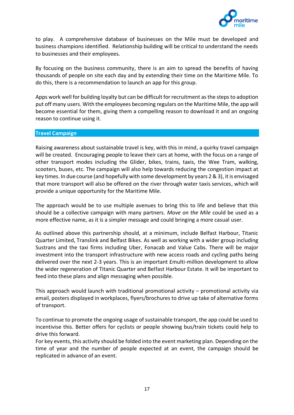

to play. A comprehensive database of businesses on the Mile must be developed and business champions identified. Relationship building will be critical to understand the needs to businesses and their employees.

By focusing on the business community, there is an aim to spread the benefits of having thousands of people on site each day and by extending their time on the Maritime Mile. To do this, there is a recommendation to launch an app for this group.

Apps work well for building loyalty but can be difficult for recruitment as the steps to adoption put off many users. With the employees becoming regulars on the Maritime Mile, the app will become essential for them, giving them a compelling reason to download it and an ongoing reason to continue using it.

#### **Travel Campaign**

Raising awareness about sustainable travel is key, with this in mind, a quirky travel campaign will be created. Encouraging people to leave their cars at home, with the focus on a range of other transport modes including the Glider, bikes, trains, taxis, the Wee Tram, walking, scooters, buses, etc. The campaign will also help towards reducing the congestion impact at key times. In due course (and hopefully with some development by years 2 & 3), it is envisaged that more transport will also be offered on the river through water taxis services, which will provide a unique opportunity for the Maritime Mile.

The approach would be to use multiple avenues to bring this to life and believe that this should be a collective campaign with many partners. *Move on the Mile* could be used as a more effective name, as it is a simpler message and could bringing a more casual user.

As outlined above this partnership should, at a minimum, include Belfast Harbour, Titanic Quarter Limited, Translink and Belfast Bikes. As well as working with a wider group including Sustrans and the taxi firms including Uber, Fonacab and Value Cabs. There will be major investment into the transport infrastructure with new access roads and cycling paths being delivered over the next 2-3 years. This is an important £multi-million development to allow the wider regeneration of Titanic Quarter and Belfast Harbour Estate. It will be important to feed into these plans and align messaging when possible.

This approach would launch with traditional promotional activity – promotional activity via email, posters displayed in workplaces, flyers/brochures to drive up take of alternative forms of transport.

To continue to promote the ongoing usage of sustainable transport, the app could be used to incentivise this. Better offers for cyclists or people showing bus/train tickets could help to drive this forward.

For key events, this activity should be folded into the event marketing plan. Depending on the time of year and the number of people expected at an event, the campaign should be replicated in advance of an event.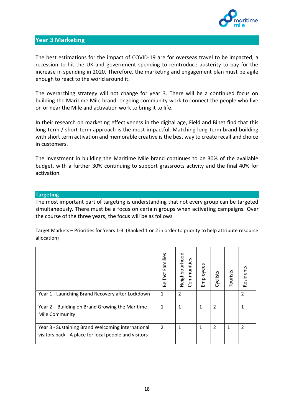

#### **Year 3 Marketing**

The best estimations for the impact of COVID-19 are for overseas travel to be impacted, a recession to hit the UK and government spending to reintroduce austerity to pay for the increase in spending in 2020. Therefore, the marketing and engagement plan must be agile enough to react to the world around it.

The overarching strategy will not change for year 3. There will be a continued focus on building the Maritime Mile brand, ongoing community work to connect the people who live on or near the Mile and activation work to bring it to life.

In their research on marketing effectiveness in the digital age, Field and Binet find that this long-term / short-term approach is the most impactful. Matching long-term brand building with short term activation and memorable creative is the best way to create recall and choice in customers.

The investment in building the Maritime Mile brand continues to be 30% of the available budget, with a further 30% continuing to support grassroots activity and the final 40% for activation.

#### **Targeting**

The most important part of targeting is understanding that not every group can be targeted simultaneously. There must be a focus on certain groups when activating campaigns. Over the course of the three years, the focus will be as follows

Target Markets – Priorities for Years 1-3 (Ranked 1 or 2 in order to priority to help attribute resource allocation)

|                                                                                                            | Families<br>Belfast | Neighbourhood<br>Communities | Employees | Cyclists       | Tourists | Residents     |
|------------------------------------------------------------------------------------------------------------|---------------------|------------------------------|-----------|----------------|----------|---------------|
| Year 1 - Launching Brand Recovery after Lockdown                                                           | $\mathbf{1}$        | $\overline{2}$               |           |                |          | 2             |
| Year 2 - Building on Brand Growing the Maritime<br>Mile Community                                          | 1                   | 1                            | 1         | $\overline{2}$ |          |               |
| Year 3 - Sustaining Brand Welcoming international<br>visitors back - A place for local people and visitors | 2                   | 1                            | 1         | 2              | 1        | $\mathcal{P}$ |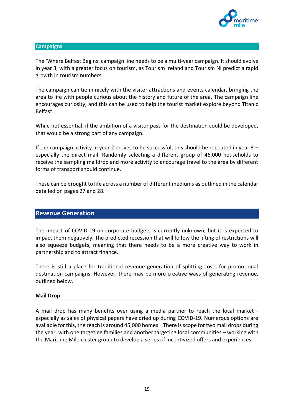

#### **Campaigns**

The 'Where Belfast Begins' campaign line needs to be a multi-year campaign. It should evolve in year 3, with a greater focus on tourism, as Tourism Ireland and Tourism NI predict a rapid growth in tourism numbers.

The campaign can tie in nicely with the visitor attractions and events calendar, bringing the area to life with people curious about the history and future of the area. The campaign line encourages curiosity, and this can be used to help the tourist market explore beyond Titanic Belfast.

While not essential, if the ambition of a visitor pass for the destination could be developed, that would be a strong part of any campaign.

If the campaign activity in year 2 proves to be successful, this should be repeated in year  $3$ especially the direct mail. Randomly selecting a different group of 46,000 households to receive the sampling maildrop and more activity to encourage travel to the area by different forms of transport should continue.

These can be brought to life across a number of different mediums as outlined in the calendar detailed on pages 27 and 28.

#### **Revenue Generation**

The impact of COVID-19 on corporate budgets is currently unknown, but it is expected to impact them negatively. The predicted recession that will follow the lifting of restrictions will also squeeze budgets, meaning that there needs to be a more creative way to work in partnership and to attract finance.

There is still a place for traditional revenue generation of splitting costs for promotional destination campaigns. However, there may be more creative ways of generating revenue, outlined below.

#### **Mail Drop**

A mail drop has many benefits over using a media partner to reach the local market especially as sales of physical papers have dried up during COVID-19. Numerous options are available for this, the reach is around 45,000 homes. There is scope for two mail drops during the year, with one targeting families and another targeting local communities – working with the Maritime Mile cluster group to develop a series of incentivized offers and experiences.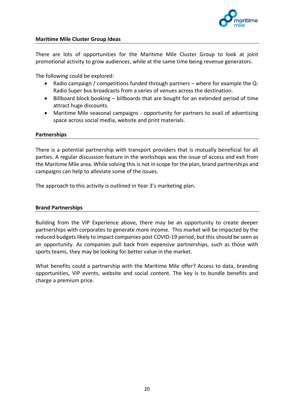

#### **Maritime Mile Cluster Group Ideas**

There are lots of opportunities for the Maritime Mile Cluster Group to look at joint promotional activity to grow audiences, while at the same time being revenue generators.

The following could be explored:

- Radio campaign / competitions funded through partners where for example the Q-Radio Super bus broadcasts from a series of venues across the destination.
- Billboard block booking billboards that are bought for an extended period of time attract huge discounts.
- Maritime Mile seasonal campaigns opportunity for partners to avail of advertising space across social media, website and print materials.

#### **Partnerships**

There is a potential partnership with transport providers that is mutually beneficial for all parties. A regular discussion feature in the workshops was the issue of access and exit from the Maritime Mile area. While solving this is not in scope for the plan, brand partnerships and campaigns can help to alleviate some of the issues.

The approach to this activity is outlined in Year 3's marketing plan.

#### **Brand Partnerships**

Building from the VIP Experience above, there may be an opportunity to create deeper partnerships with corporates to generate more income. This market will be impacted by the reduced budgets likely to impact companies post COVID-19 period, but this should be seen as an opportunity. As companies pull back from expensive partnerships, such as those with sports teams, they may be looking for better value in the market.

What benefits could a partnership with the Maritime Mile offer? Access to data, branding opportunities, VIP events, website and social content. The key is to bundle benefits and charge a premium price.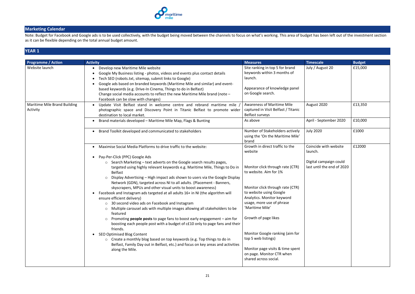

## **Marketing Calendar**

Note: Budget for Facebook and Google ads is to be used collectively, with the budget being moved between the channels to focus on what's working. This area of budget has been left out of the investment section as it can be flexible depending on the total annual budget amount.

# **YEAR 1**

| <b>Programme / Action</b>                | <b>Activity</b>                                                                                                                                                                                                                                                                                                                                                                                                                                                                                                                                                                                                                                                                                                                                                                                                                                                                                                                                                                                                                                                                                                                                                                         | <b>Measures</b>                                                                                                                                                                                                                                                                                                                                                                                                                   | <b>Timescale</b>                                                                         | <b>Budget</b>      |
|------------------------------------------|-----------------------------------------------------------------------------------------------------------------------------------------------------------------------------------------------------------------------------------------------------------------------------------------------------------------------------------------------------------------------------------------------------------------------------------------------------------------------------------------------------------------------------------------------------------------------------------------------------------------------------------------------------------------------------------------------------------------------------------------------------------------------------------------------------------------------------------------------------------------------------------------------------------------------------------------------------------------------------------------------------------------------------------------------------------------------------------------------------------------------------------------------------------------------------------------|-----------------------------------------------------------------------------------------------------------------------------------------------------------------------------------------------------------------------------------------------------------------------------------------------------------------------------------------------------------------------------------------------------------------------------------|------------------------------------------------------------------------------------------|--------------------|
| Website launch                           | Develop new Maritime Mile website<br>$\bullet$<br>Google My Business listing - photos, videos and events plus contact details<br>Tech SEO (robots.txt, sitemap, submit links to Google)<br>Google ads based on branded keywords (Maritime Mile and similar) and event-<br>based keywords (e.g. Drive-In Cinema, Things to do in Belfast)<br>Change social media accounts to reflect the new Maritime Mile brand (note -<br>Facebook can be slow with changes)                                                                                                                                                                                                                                                                                                                                                                                                                                                                                                                                                                                                                                                                                                                           | Site ranking in top 5 for brand<br>keywords within 3 months of<br>launch.<br>Appearance of knowledge panel<br>on Google search.                                                                                                                                                                                                                                                                                                   | July / August 20                                                                         | £15,000            |
| Maritime Mile Brand Building<br>Activity | Update Visit Belfast stand in welcome centre and rebrand maritime mile<br>photographic space and Discovery Point in Titanic Belfast to promote wider<br>destination to local market.<br>Brand materials developed - Maritime Mile Map, Flags & Bunting                                                                                                                                                                                                                                                                                                                                                                                                                                                                                                                                                                                                                                                                                                                                                                                                                                                                                                                                  | <b>Awareness of Maritime Mile</b><br>captured in Visit Belfast / Titanic<br>Belfast surveys<br>As above                                                                                                                                                                                                                                                                                                                           | August 2020<br>April - September 2020                                                    | £13,350<br>£10,000 |
|                                          | Brand Toolkit developed and communicated to stakeholders                                                                                                                                                                                                                                                                                                                                                                                                                                                                                                                                                                                                                                                                                                                                                                                                                                                                                                                                                                                                                                                                                                                                | Number of Stakeholders actively<br>using the 'On the Maritime Mile'<br>brand                                                                                                                                                                                                                                                                                                                                                      | <b>July 2020</b>                                                                         | £1000              |
|                                          | Maximise Social Media Platforms to drive traffic to the website:<br>• Pay-Per-Click (PPC) Google Ads<br>○ Search Marketing – text adverts on the Google search results pages,<br>targeted using highly relevant keywords e.g. Maritime Mile, Things to Do in<br><b>Belfast</b><br>Display Advertising - High impact ads shown to users via the Google Display<br>Network (GDN), targeted across NI to all adults. (Placement - Banners,<br>skyscrapers, MPUs and other visual units to boost awareness)<br>Facebook and Instagram ads targeted at all adults 16+ in NI (the algorithm will<br>ensure efficient delivery)<br>30 second video ads on Facebook and Instagram<br>$\circ$<br>Multiple carousel ads with multiple images allowing all stakeholders to be<br>featured<br>Promoting <b>people posts</b> to page fans to boost early engagement $-$ aim for<br>$\circ$<br>boosting each people post with a budget of c£10 only to page fans and their<br>friends.<br>SEO Optimised Blog Content<br>o Create a monthly blog based on top keywords (e.g. Top things to do in<br>Belfast, Family Day out in Belfast, etc.) and focus on key areas and activities<br>along the Mile. | Growth in direct traffic to the<br>website<br>Monitor click through rate (CTR)<br>to website. Aim for 1%<br>Monitor click through rate (CTR)<br>to website using Google<br>Analytics. Monitor keyword<br>usage, more use of phrase<br>'Maritime Mile'<br>Growth of page likes<br>Monitor Google ranking (aim for<br>top 5 web listings)<br>Monitor page visits & time spent<br>on page. Monitor CTR when<br>shared across social. | Coincide with website<br>launch.<br>Digital campaign could<br>last until the end of 2020 | £12000             |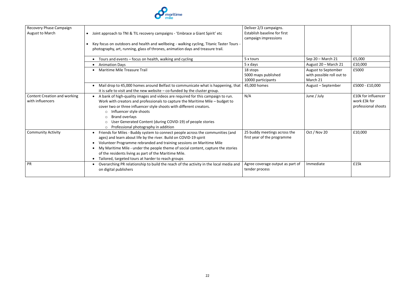

| Recovery Phase Campaign             |                                                                                              | Deliver 2/3 campaigns.           |                           |                     |
|-------------------------------------|----------------------------------------------------------------------------------------------|----------------------------------|---------------------------|---------------------|
| August to March                     | Joint approach to TNI & TIL recovery campaigns - 'Embrace a Giant Spirit' etc<br>$\bullet$   | Establish baseline for first     |                           |                     |
|                                     |                                                                                              | campaign impressions             |                           |                     |
|                                     | Key focus on outdoors and health and wellbeing - walking cycling, Titanic Taster Tours -     |                                  |                           |                     |
|                                     | photography, art, running, glass of thrones, animation days and treasure trail.              |                                  |                           |                     |
|                                     |                                                                                              |                                  |                           |                     |
|                                     | • Tours and events - focus on health, walking and cycling                                    | 5 x tours                        | Sep 20 - March 21         | £5,000              |
|                                     | • Animation Days                                                                             | 5 x days                         | August 20 - March 21      | £10,000             |
|                                     | Maritime Mile Treasure Trail                                                                 | 18 stops                         | August to September       | £5000               |
|                                     |                                                                                              | 5000 maps published              | with possible roll out to |                     |
|                                     |                                                                                              | 10000 participants               | March 21                  |                     |
|                                     | Mail drop to 45,000 homes around Belfast to communicate what is happening, that<br>$\bullet$ | 45,000 homes                     | August - September        | £5000 - £10,000     |
|                                     | it is safe to visit and the new website $-$ co-funded by the cluster group.                  |                                  |                           |                     |
| <b>Content Creation and working</b> | A bank of high-quality images and videos are required for this campaign to run.              | N/A                              | June / July               | £10k for influencer |
| with influencers                    | Work with creators and professionals to capture the Maritime Mile - budget to                |                                  |                           | work £3k for        |
|                                     | cover two or three influencer style shoots with different creators.                          |                                  |                           | professional shoots |
|                                     | Influencer style shoots<br>$\circ$                                                           |                                  |                           |                     |
|                                     | Brand overlays<br>$\circ$                                                                    |                                  |                           |                     |
|                                     | User Generated Content (during COVID-19) of people stories<br>$\circ$                        |                                  |                           |                     |
|                                     | Professional photography in addition<br>$\circ$                                              |                                  |                           |                     |
| <b>Community Activity</b>           | Friends for Miles - Buddy system to connect people across the communities (and               | 25 buddy meetings across the     | Oct / Nov 20              | £10,000             |
|                                     | ages) and learn about life by the river. Build on COVID-19 spirit                            | first year of the programme      |                           |                     |
|                                     | Volunteer Programme rebranded and training sessions on Maritime Mile                         |                                  |                           |                     |
|                                     | My Maritime Mile - under the people theme of social content, capture the stories             |                                  |                           |                     |
|                                     | of the residents living as part of the Maritime Mile.                                        |                                  |                           |                     |
|                                     | Tailored, targeted tours at harder to reach groups                                           |                                  |                           |                     |
| PR                                  | Overarching PR relationship to build the reach of the activity in the local media and        | Agree coverage output as part of | Immediate                 | £15k                |
|                                     | on digital publishers                                                                        | tender process                   |                           |                     |
|                                     |                                                                                              |                                  |                           |                     |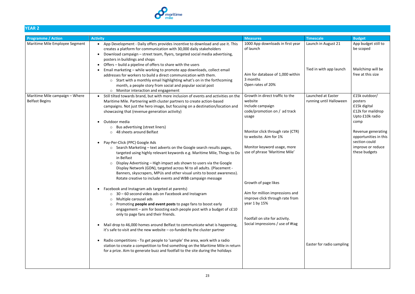

# **YEAR 2**

| <b>Programme / Action</b>                               | <b>Activity</b>                                                                                                                                                                                                                                                                                                                                                                                                                                                                                                                                                                                                                                                                                                                                                                                                                                                                                                                                                                                                                                                                                                                                                                                                                                                                                                                                                                                                                                                                                                                                                                                                                                                                                                               | <b>Measures</b>                                                                                                                                                                                                                                                                                                                                                                                                            | <b>Timescale</b>                                                           | <b>Budget</b>                                                                                                                                                                                  |
|---------------------------------------------------------|-------------------------------------------------------------------------------------------------------------------------------------------------------------------------------------------------------------------------------------------------------------------------------------------------------------------------------------------------------------------------------------------------------------------------------------------------------------------------------------------------------------------------------------------------------------------------------------------------------------------------------------------------------------------------------------------------------------------------------------------------------------------------------------------------------------------------------------------------------------------------------------------------------------------------------------------------------------------------------------------------------------------------------------------------------------------------------------------------------------------------------------------------------------------------------------------------------------------------------------------------------------------------------------------------------------------------------------------------------------------------------------------------------------------------------------------------------------------------------------------------------------------------------------------------------------------------------------------------------------------------------------------------------------------------------------------------------------------------------|----------------------------------------------------------------------------------------------------------------------------------------------------------------------------------------------------------------------------------------------------------------------------------------------------------------------------------------------------------------------------------------------------------------------------|----------------------------------------------------------------------------|------------------------------------------------------------------------------------------------------------------------------------------------------------------------------------------------|
| Maritime Mile Employee Segment                          | App Development - Daily offers provides incentive to download and use it. This<br>creates a platform for communication with 30,000 daily stakeholders<br>Download campaign - street team, flyers, targeted social media advertising,<br>posters in buildings and shops<br>• Offers – build a pipeline of offers to share with the users<br>Email marketing - while working to promote app downloads, collect email<br>addresses for workers to build a direct communication with them.<br>o Start with a monthly email highlighting what's on in the forthcoming                                                                                                                                                                                                                                                                                                                                                                                                                                                                                                                                                                                                                                                                                                                                                                                                                                                                                                                                                                                                                                                                                                                                                              | 1000 App downloads in first year<br>of launch<br>Aim for database of 1,000 within<br>3 months                                                                                                                                                                                                                                                                                                                              | Launch in August 21<br>Tied in with app launch                             | App budget still to<br>be scoped<br>Mailchimp will be<br>free at this size                                                                                                                     |
|                                                         | month, a people story from social and popular social post                                                                                                                                                                                                                                                                                                                                                                                                                                                                                                                                                                                                                                                                                                                                                                                                                                                                                                                                                                                                                                                                                                                                                                                                                                                                                                                                                                                                                                                                                                                                                                                                                                                                     | Open rates of 20%                                                                                                                                                                                                                                                                                                                                                                                                          |                                                                            |                                                                                                                                                                                                |
| Maritime Mile campaign - Where<br><b>Belfast Begins</b> | o Monitor interaction and engagement<br>• Still tilted towards brand, but with more inclusion of events and activities on the<br>Maritime Mile. Partnering with cluster partners to create action-based<br>campaigns. Not just the hero image, but focusing on a destination/location and<br>showcasing that (revenue generation activity)<br>Outdoor media<br>Bus advertising (street liners)<br>$\circ$<br>48 sheets around Belfast<br>$\circ$<br>• Pay-Per-Click (PPC) Google Ads<br>○ Search Marketing – text adverts on the Google search results pages,<br>targeted using highly relevant keywords e.g. Maritime Mile, Things to Do<br>in Belfast<br>Display Advertising - High impact ads shown to users via the Google<br>$\circ$<br>Display Network (GDN), targeted across NI to all adults. (Placement -<br>Banners, skyscrapers, MPUs and other visual units to boost awareness).<br>Rotate creative to include events and WBB campaign message<br>Facebook and Instagram ads targeted at parents)<br>$\circ$ 30 – 60 second video ads on Facebook and Instagram<br>Multiple carousel ads<br>$\circ$<br>Promoting people and event posts to page fans to boost early<br>$\circ$<br>engagement - aim for boosting each people post with a budget of c£10<br>only to page fans and their friends.<br>• Mail drop to 46,000 homes around Belfast to communicate what is happening,<br>it's safe to visit and the new website $-$ co-funded by the cluster partner<br>Radio competitions - To get people to 'sample' the area, work with a radio<br>station to create a competition to find something on the Maritime Mile in return<br>for a prize. Aim to generate buzz and footfall to the site during the holidays | Growth in direct traffic to the<br>website<br>Include campaign<br>code/promotion on / ad track<br>usage<br>Monitor click through rate (CTR)<br>to website. Aim for 1%<br>Monitor keyword usage, more<br>use of phrase 'Maritime Mile'<br>Growth of page likes<br>Aim for million impressions and<br>improve click through rate from<br>year 1 by 15%<br>Footfall on site for activity.<br>Social impressions / use of #tag | Launched at Easter<br>running until Halloween<br>Easter for radio sampling | £15k outdoor/<br>posters<br>£15k digital<br>£12k for maildrop<br>Upto £10k radio<br>comp<br>Revenue generating<br>opportunities in this<br>section could<br>improve or reduce<br>these budgets |
|                                                         |                                                                                                                                                                                                                                                                                                                                                                                                                                                                                                                                                                                                                                                                                                                                                                                                                                                                                                                                                                                                                                                                                                                                                                                                                                                                                                                                                                                                                                                                                                                                                                                                                                                                                                                               |                                                                                                                                                                                                                                                                                                                                                                                                                            |                                                                            |                                                                                                                                                                                                |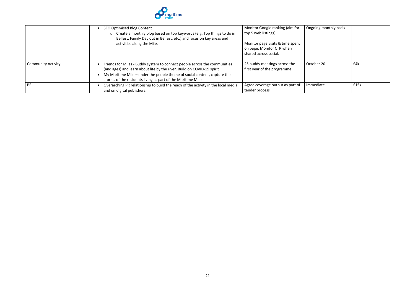

|                           | SEO Optimised Blog Content<br>○ Create a monthly blog based on top keywords (e.g. Top things to do in<br>Belfast, Family Day out in Belfast, etc.) and focus on key areas and<br>activities along the Mile.                                                                                     | Monitor Google ranking (aim for<br>top 5 web listings)<br>Monitor page visits & time spent<br>on page. Monitor CTR when<br>shared across social. | Ongoing monthly basis |      |
|---------------------------|-------------------------------------------------------------------------------------------------------------------------------------------------------------------------------------------------------------------------------------------------------------------------------------------------|--------------------------------------------------------------------------------------------------------------------------------------------------|-----------------------|------|
| <b>Community Activity</b> | Friends for Miles - Buddy system to connect people across the communities<br>(and ages) and learn about life by the river. Build on COVID-19 spirit<br>My Maritime Mile – under the people theme of social content, capture the<br>stories of the residents living as part of the Maritime Mile | 25 buddy meetings across the<br>first year of the programme                                                                                      | October 20            | £4k  |
| <b>PR</b>                 | Overarching PR relationship to build the reach of the activity in the local media<br>and on digital publishers.                                                                                                                                                                                 | Agree coverage output as part of<br>tender process                                                                                               | Immediate             | £15k |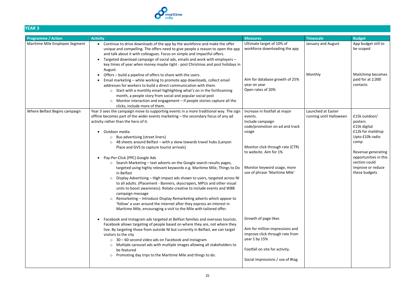

# **YEAR 3**

| . LAIN J                       |                                                                                                                                                                                                                                                                                                                                                                                                                                                                                                                                                                                                                                                                                                                                                                                                                                                                                                                                                                                                                                                                                                                                                                                                           |                                                                                                                                                                                                                                                               |                                               |                                                                                                                                                                                                |
|--------------------------------|-----------------------------------------------------------------------------------------------------------------------------------------------------------------------------------------------------------------------------------------------------------------------------------------------------------------------------------------------------------------------------------------------------------------------------------------------------------------------------------------------------------------------------------------------------------------------------------------------------------------------------------------------------------------------------------------------------------------------------------------------------------------------------------------------------------------------------------------------------------------------------------------------------------------------------------------------------------------------------------------------------------------------------------------------------------------------------------------------------------------------------------------------------------------------------------------------------------|---------------------------------------------------------------------------------------------------------------------------------------------------------------------------------------------------------------------------------------------------------------|-----------------------------------------------|------------------------------------------------------------------------------------------------------------------------------------------------------------------------------------------------|
| <b>Programme / Action</b>      | <b>Activity</b>                                                                                                                                                                                                                                                                                                                                                                                                                                                                                                                                                                                                                                                                                                                                                                                                                                                                                                                                                                                                                                                                                                                                                                                           | <b>Measures</b>                                                                                                                                                                                                                                               | <b>Timescale</b>                              | <b>Budget</b>                                                                                                                                                                                  |
| Maritime Mile Employee Segment | Continue to drive downloads of the app by the workforce and make the offer<br>unique and compelling. The offers need to give people a reason to open the app<br>and talk about it with colleagues. Focus on simple and impactful offers.<br>Targeted download campaign of social ads, emails and work with employers -<br>key times of year when money maybe tight - post Christmas and post holidays in<br>August.                                                                                                                                                                                                                                                                                                                                                                                                                                                                                                                                                                                                                                                                                                                                                                                       | Ultimate target of 10% of<br>workforce downloading the app                                                                                                                                                                                                    | January and August                            | App budget still to<br>be scoped                                                                                                                                                               |
|                                | Offers - build a pipeline of offers to share with the users.<br>Email marketing - while working to promote app downloads, collect email<br>addresses for workers to build a direct communication with them.<br>○ Start with a monthly email highlighting what's on in the forthcoming<br>month, a people story from social and popular social post<br>Monitor interaction and engagement – if people stories capture all the<br>$\circ$<br>clicks, include more of them.                                                                                                                                                                                                                                                                                                                                                                                                                                                                                                                                                                                                                                                                                                                                  | Aim for database growth of 25%<br>year on year<br>Open rates of 20%                                                                                                                                                                                           | Monthly                                       | Mailchimp becomes<br>paid for at 2,000<br>contacts                                                                                                                                             |
| Where Belfast Begins campaign  | Year 3 sees the campaign move to supporting events in a more traditional way. The sign<br>offline becomes part of the wider events marketing - the secondary focus of any ad<br>activity rather than the hero of it.<br>Outdoor media<br>Bus advertising (street liners)<br>$\circ$<br>48 sheets around Belfast - with a skew towards travel hubs (Lanyon<br>$\circ$<br>Place and GVS to capture tourist arrivals)<br>Pay-Per-Click (PPC) Google Ads<br>○ Search Marketing – text adverts on the Google search results pages,<br>targeted using highly relevant keywords e.g. Maritime Mile, Things to Do<br>in Belfast<br>Display Advertising - High impact ads shown to users, targeted across NI<br>$\circ$<br>to all adults. (Placement - Banners, skyscrapers, MPUs and other visual<br>units to boost awareness). Rotate creative to include events and WBB<br>campaign message<br>Remarketing - Introduce Display Remarketing adverts which appear to<br>$\circ$<br>'follow' a user around the internet after they express an interest in<br>Maritime Mile, encouraging a visit to the Mile with tailored offer.<br>Facebook and Instagram ads targeted at Belfast families and overseas tourists. | Increase in footfall at major<br>events.<br>Include campaign<br>code/promotion on ad and track<br>usage<br>Monitor click through rate (CTR)<br>to website. Aim for 1%<br>Monitor keyword usage, more<br>use of phrase 'Maritime Mile'<br>Growth of page likes | Launched at Easter<br>running until Halloween | £15k outdoor/<br>posters<br>£15k digital<br>£12k for maildrop<br>Upto £10k radio<br>comp<br>Revenue generating<br>opportunities in this<br>section could<br>improve or reduce<br>these budgets |
|                                | Facebook allows targeting of people based on where they are, not where they<br>live. By targeting those from outside NI but currently in Belfast, we can target<br>visitors to the city<br>$\circ$ 30 – 60 second video ads on Facebook and Instagram<br>Multiple carousel ads with multiple images allowing all stakeholders to<br>$\circ$<br>be featured<br>Promoting day trips to the Maritime Mile and things to do.<br>$\circ$                                                                                                                                                                                                                                                                                                                                                                                                                                                                                                                                                                                                                                                                                                                                                                       | Aim for million impressions and<br>improve click through rate from<br>year 1 by 15%<br>Footfall on site for activity.<br>Social impressions / use of #tag                                                                                                     |                                               |                                                                                                                                                                                                |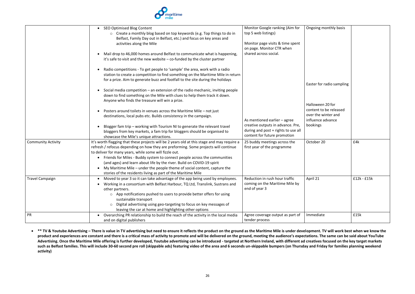

|                           | • SEO Optimised Blog Content<br>o Create a monthly blog based on top keywords (e.g. Top things to do in<br>Belfast, Family Day out in Belfast, etc.) and focus on key areas and<br>activities along the Mile                                                                                                                                                                                                                                                                                                                                    | Monitor Google ranking (Aim for<br>top 5 web listings)<br>Monitor page visits & time spent<br>on page. Monitor CTR when | Ongoing monthly basis                                                          |               |
|---------------------------|-------------------------------------------------------------------------------------------------------------------------------------------------------------------------------------------------------------------------------------------------------------------------------------------------------------------------------------------------------------------------------------------------------------------------------------------------------------------------------------------------------------------------------------------------|-------------------------------------------------------------------------------------------------------------------------|--------------------------------------------------------------------------------|---------------|
|                           | Mail drop to 46,000 homes around Belfast to communicate what is happening,<br>it's safe to visit and the new website $-$ co-funded by the cluster partner                                                                                                                                                                                                                                                                                                                                                                                       | shared across social.                                                                                                   |                                                                                |               |
|                           | Radio competitions - To get people to 'sample' the area, work with a radio<br>station to create a competition to find something on the Maritime Mile in return<br>for a prize. Aim to generate buzz and footfall to the site during the holidays                                                                                                                                                                                                                                                                                                |                                                                                                                         | Easter for radio sampling                                                      |               |
|                           | Social media competition – an extension of the radio mechanic, inviting people<br>down to find something on the Mile with clues to help them track it down.<br>Anyone who finds the treasure will win a prize.                                                                                                                                                                                                                                                                                                                                  |                                                                                                                         | Halloween 20 for                                                               |               |
|                           | Posters around toilets in venues across the Maritime Mile - not just<br>destinations, local pubs etc. Builds consistency in the campaign.<br>Blogger fam trip - working with Tourism NI to generate the relevant travel                                                                                                                                                                                                                                                                                                                         | As mentioned earlier - agree<br>creative outputs in advance. Pre,                                                       | content to be released<br>over the winter and<br>influence advance<br>bookings |               |
|                           | bloggers from key markets, a fam trip for bloggers should be organised to<br>showcase the Mile's unique attractions.                                                                                                                                                                                                                                                                                                                                                                                                                            | during and post + rights to use all<br>content for future promotion                                                     |                                                                                |               |
| <b>Community Activity</b> | It's worth flagging that these projects will be 2 years old at this stage and may require a<br>refresh / refocus depending on how they are preforming. Some projects will continue<br>to deliver for many years, while some will fizzle out.<br>Friends for Miles - Buddy system to connect people across the communities<br>(and ages) and learn about life by the river. Build on COVID-19 spirit<br>My Maritime Mile – under the people theme of social content, capture the<br>stories of the residents living as part of the Maritime Mile | 25 buddy meetings across the<br>first year of the programme                                                             | October 20                                                                     | £4k           |
| <b>Travel Campaign</b>    | • Moved to year 3 so it can take advantage of the app being used by employees.<br>• Working in a consortium with Belfast Harbour, TQ Ltd, Translink, Sustrans and<br>other partners.<br>$\circ$ App notifications pushed to users to provide better offers for using<br>sustainable transport<br>Digital advertising using geo-targeting to focus on key messages of<br>leaving the car at home and highlighting other options                                                                                                                  | Reduction in rush hour traffic<br>coming on the Maritime Mile by<br>end of year 3                                       | April 21                                                                       | $£12k - £15k$ |
| PR                        | • Overarching PR relationship to build the reach of the activity in the local media<br>and on digital publishers                                                                                                                                                                                                                                                                                                                                                                                                                                | Agree coverage output as part of<br>tender process                                                                      | Immediate                                                                      | £15k          |

• \*\* TV & Youtube Advertising – There is value in TV advertising but need to ensure it reflects the product on the ground as the Maritime Mile is under development. TV will work best when we know the **product and experiences are constant and there is a critical mass of activity to promote and will be delivered on the ground, meeting the audience's expectations. The same can be said about YouTube Advertising. Once the Maritime Mile offering is further developed, Youtube advertising can be introduced - targeted at Northern Ireland, with different ad creatives focused on the key target markets such as Belfast families. This will include 30-60 second pre roll (skippable ads) featuring video of the area and 6 seconds un-skippable bumpers (on Thursday and Friday for families planning weekend activity)**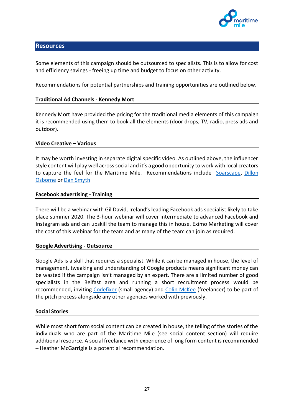

#### **Resources**

Some elements of this campaign should be outsourced to specialists. This is to allow for cost and efficiency savings - freeing up time and budget to focus on other activity.

Recommendations for potential partnerships and training opportunities are outlined below.

#### **Traditional Ad Channels - Kennedy Mort**

Kennedy Mort have provided the pricing for the traditional media elements of this campaign it is recommended using them to book all the elements (door drops, TV, radio, press ads and outdoor).

#### **Video Creative – Various**

It may be worth investing in separate digital specific video. As outlined above, the influencer style content will play well across social and it's a good opportunity to work with local creators to capture the feel for the Maritime Mile. Recommendations include [Soarscape,](https://www.soarscape.co.uk/) [Dillon](https://www.diltakesphotos.com/)  [Osborne](https://www.diltakesphotos.com/) or [Dan Smyth](https://www.diltakesphotos.com/)

#### **Facebook advertising - Training**

There will be a webinar with Gil David, Ireland's leading Facebook ads specialist likely to take place summer 2020. The 3-hour webinar will cover intermediate to advanced Facebook and Instagram ads and can upskill the team to manage this in house. Eximo Marketing will cover the cost of this webinar for the team and as many of the team can join as required.

#### **Google Advertising - Outsource**

Google Ads is a skill that requires a specialist. While it can be managed in house, the level of management, tweaking and understanding of Google products means significant money can be wasted if the campaign isn't managed by an expert. There are a limited number of good specialists in the Belfast area and running a short recruitment process would be recommended, inviting [Codefixer](https://www.codefixer.com/) (small agency) and [Colin McKee](https://www.linkedin.com/in/colin-mckee-6794881b/) (freelancer) to be part of the pitch process alongside any other agencies worked with previously.

#### **Social Stories**

While most short form social content can be created in house, the telling of the stories of the individuals who are part of the Maritime Mile (see social content section) will require additional resource. A social freelance with experience of long form content is recommended – Heather McGarrigle is a potential recommendation.